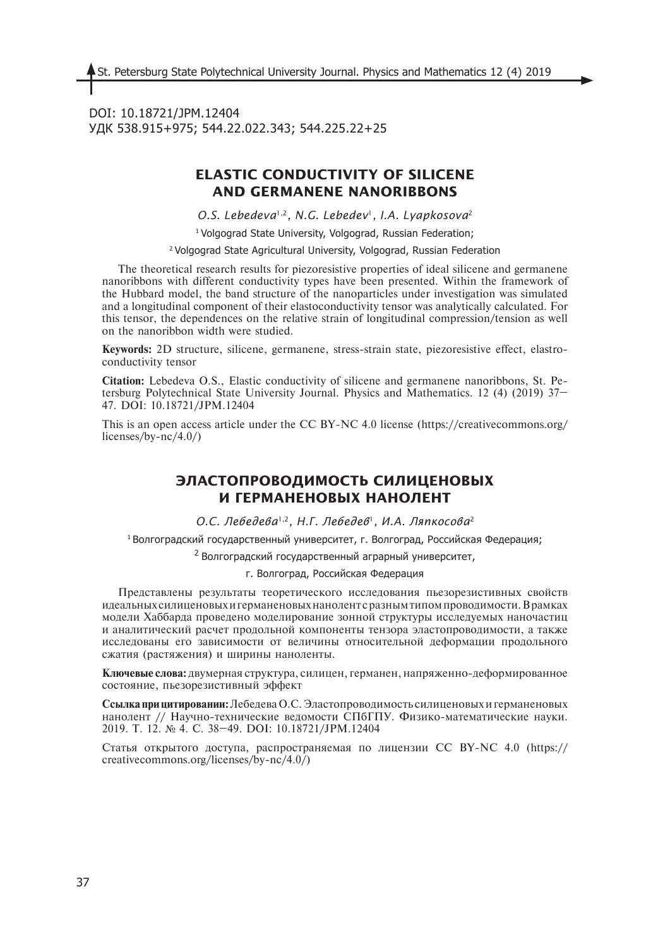DOI: 10.18721/JPM.12404 УДК 538.915+975; 544.22.022.343; 544.225.22+25

# **ELASTIC CONDUCTIVITY OF SILICENE AND GERMANENE NANORIBBONS**

*O.S. Lebedeva*1,2*, N.G. Lebedev*1*, I.A. Lyapkosova*<sup>2</sup>

<sup>1</sup> Volgograd State University, Volgograd, Russian Federation;

2 Volgograd State Agricultural University, Volgograd, Russian Federation

The theoretical research results for piezoresistive properties of ideal silicene and germanene nanoribbons with different conductivity types have been presented. Within the framework of the Hubbard model, the band structure of the nanoparticles under investigation was simulated and a longitudinal component of their elastoconductivity tensor was analytically calculated. For this tensor, the dependences on the relative strain of longitudinal compression/tension as well on the nanoribbon width were studied.

**Keywords:** 2D structure, silicene, germanene, stress-strain state, piezoresistive effect, elastroconductivity tensor

**Citation:** Lebedeva О.S., Elastic conductivity of silicene and germanene nanoribbons, St. Petersburg Polytechnical State University Journal. Physics and Mathematics. 12 (4) (2019) 37– 47. DOI: 10.18721/JPM.12404

This is an open access article under the CC BY-NC 4.0 license (https://creativecommons.org/ licenses/by-nc/4.0/)

## **ЭЛАСТОПРОВОДИМОСТЬ СИЛИЦЕНОВЫХ И ГЕРМАНЕНОВЫХ НАНОЛЕНТ**

*О.С. Лебедева*1,2*, Н.Г. Лебедев*1*, И.А. Ляпкосова*<sup>2</sup>

<sup>1</sup> Волгоградский государственный университет, г. Волгоград, Российская Федерация;

 $2$  Волгоградский государственный аграрный университет,

г. Волгоград, Российская Федерация

Представлены результаты теоретического исследования пьезорезистивных свойств идеальных силиценовых и германеновых нанолент с разным типом проводимости. В рамках модели Хаббарда проведено моделирование зонной структуры исследуемых наночастиц и аналитический расчет продольной компоненты тензора эластопроводимости, а также исследованы его зависимости от величины относительной деформации продольного сжатия (растяжения) и ширины наноленты.

**Ключевые слова:** двумерная структура, силицен, германен, напряженно-деформированное состояние, пьезорезистивный эффект

**Ссылка при цитировании:** Лебедева О.С. Эластопроводимость силиценовых и германеновых нанолент // Научно-технические ведомости СПбГПУ. Физико-математические науки. 2019. Т. 12. № 4. С. 38–49. DOI: 10.18721/JPM.12404

Статья открытого доступа, распространяемая по лицензии CC BY-NC 4.0 (https:// creativecommons.org/licenses/by-nc/4.0/)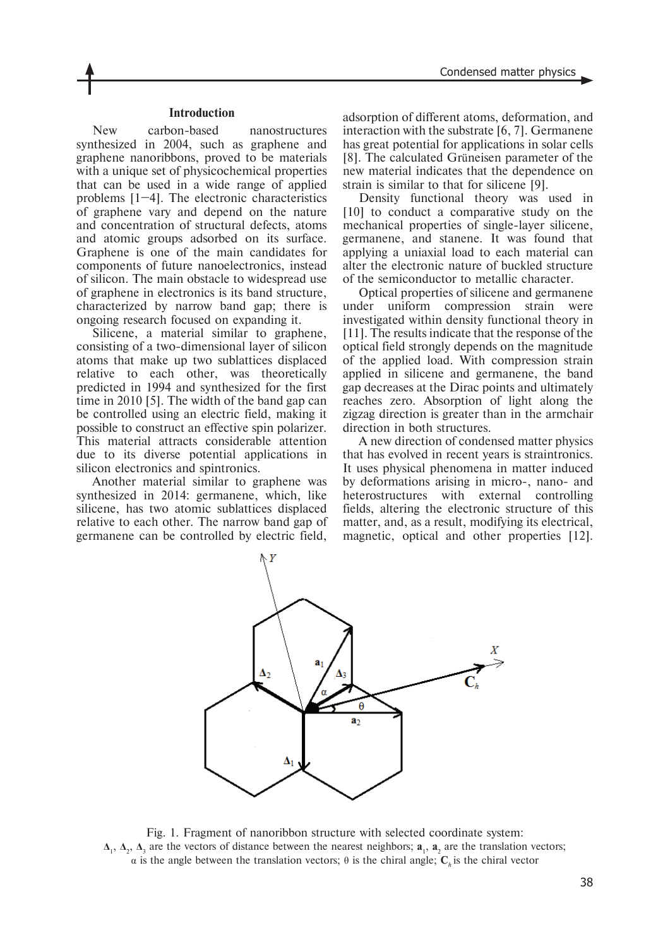#### **Introduction**

New carbon-based nanostructures synthesized in 2004, such as graphene and graphene nanoribbons, proved to be materials with a unique set of physicochemical properties that can be used in a wide range of applied problems [1–4]. The electronic characteristics of graphene vary and depend on the nature and concentration of structural defects, atoms and atomic groups adsorbed on its surface. Graphene is one of the main candidates for components of future nanoelectronics, instead of silicon. The main obstacle to widespread use of graphene in electronics is its band structure, characterized by narrow band gap; there is ongoing research focused on expanding it.

Silicene, a material similar to graphene, consisting of a two-dimensional layer of silicon atoms that make up two sublattices displaced relative to each other, was theoretically predicted in 1994 and synthesized for the first time in 2010 [5]. The width of the band gap can be controlled using an electric field, making it possible to construct an effective spin polarizer. This material attracts considerable attention due to its diverse potential applications in silicon electronics and spintronics.

Another material similar to graphene was synthesized in 2014: germanene, which, like silicene, has two atomic sublattices displaced relative to each other. The narrow band gap of germanene can be controlled by electric field, adsorption of different atoms, deformation, and interaction with the substrate [6, 7]. Germanene has great potential for applications in solar cells [8]. The calculated Grüneisen parameter of the new material indicates that the dependence on strain is similar to that for silicene [9].

Density functional theory was used in [10] to conduct a comparative study on the mechanical properties of single-layer silicene, germanene, and stanene. It was found that applying a uniaxial load to each material can alter the electronic nature of buckled structure of the semiconductor to metallic character.

Optical properties of silicene and germanene under uniform compression strain were investigated within density functional theory in [11]. The results indicate that the response of the optical field strongly depends on the magnitude of the applied load. With compression strain applied in silicene and germanene, the band gap decreases at the Dirac points and ultimately reaches zero. Absorption of light along the zigzag direction is greater than in the armchair direction in both structures.

A new direction of condensed matter physics that has evolved in recent years is straintronics. It uses physical phenomena in matter induced by deformations arising in micro-, nano- and heterostructures with external controlling fields, altering the electronic structure of this matter, and, as a result, modifying its electrical, magnetic, optical and other properties [12].



Fig. 1. Fragment of nanoribbon structure with selected coordinate system:  $\Delta_1$ ,  $\Delta_2$ ,  $\Delta_3$  are the vectors of distance between the nearest neighbors;  $a_1$ ,  $a_2$  are the translation vectors; α is the angle between the translation vectors; θ is the chiral angle; **C***<sup>h</sup>* is the chiral vector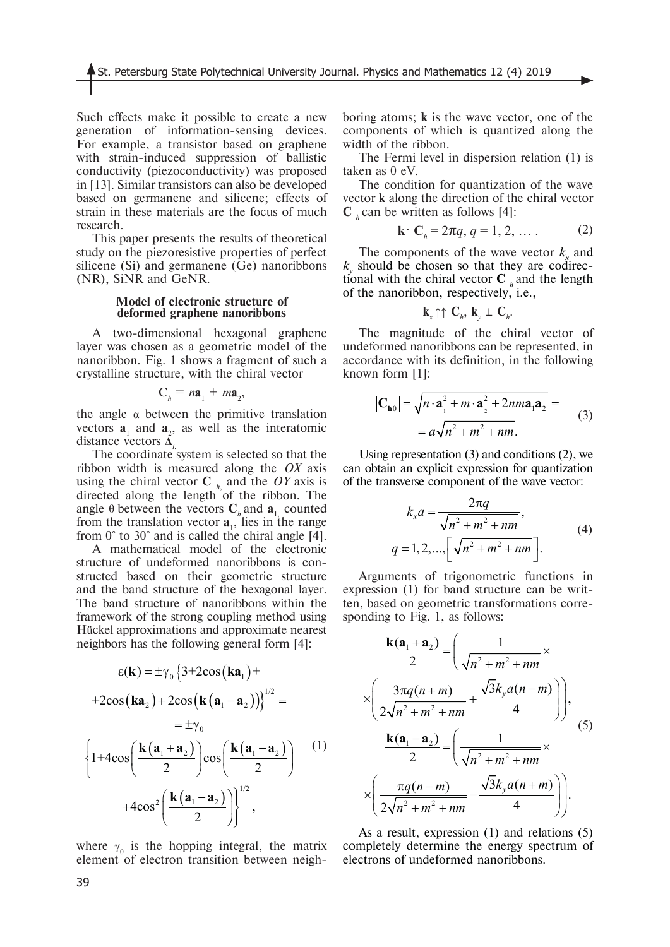Such effects make it possible to create a new generation of information-sensing devices. For example, a transistor based on graphene with strain-induced suppression of ballistic conductivity (piezoconductivity) was proposed in [13]. Similar transistors can also be developed based on germanene and silicene; effects of strain in these materials are the focus of much research.

This paper presents the results of theoretical study on the piezoresistive properties of perfect silicene (Si) and germanene (Ge) nanoribbons (NR), SiNR and GeNR.

#### **Model of electronic structure of deformed graphene nanoribbons**

A two-dimensional hexagonal graphene layer was chosen as a geometric model of the nanoribbon. Fig. 1 shows a fragment of such a crystalline structure, with the chiral vector

$$
C_h = n\mathbf{a}_1 + m\mathbf{a}_2,
$$

the angle  $\alpha$  between the primitive translation vectors  $\mathbf{a}_1$  and  $\mathbf{a}_2$ , as well as the interatomic distance vectors **Δ***i*.

The coordinate system is selected so that the ribbon width is measured along the *OX* axis using the chiral vector  $C_{h}$  and the *OY* axis is directed along the length of the ribbon. The angle  $\theta$  between the vectors  $C_h$  and  $a_1$  counted from the translation vector  $\mathbf{a}_{1}$ , lies in the range from 0° to 30° and is called the chiral angle [4].

A mathematical model of the electronic structure of undeformed nanoribbons is constructed based on their geometric structure and the band structure of the hexagonal layer. The band structure of nanoribbons within the framework of the strong coupling method using Hückel approximations and approximate nearest neighbors has the following general form [4]:

$$
\varepsilon(\mathbf{k}) = \pm \gamma_0 \left\{ 3 + 2\cos(\mathbf{k} \mathbf{a}_1) +
$$
  
+2cos( $\mathbf{k} \mathbf{a}_2$ ) + 2cos( $\mathbf{k} (\mathbf{a}_1 - \mathbf{a}_2)$ )} \right\}^{1/2} =  
=  $\pm \gamma_0$   

$$
\left\{ 1 + 4\cos\left( \frac{\mathbf{k} (\mathbf{a}_1 + \mathbf{a}_2)}{2} \right) \cos\left( \frac{\mathbf{k} (\mathbf{a}_1 - \mathbf{a}_2)}{2} \right) \right\}^{1/2} + 4\cos^2\left( \frac{\mathbf{k} (\mathbf{a}_1 - \mathbf{a}_2)}{2} \right) \right\}^{1/2},
$$

where  $\gamma_0$  is the hopping integral, the matrix element of electron transition between neighboring atoms; **k** is the wave vector, one of the components of which is quantized along the width of the ribbon.

The Fermi level in dispersion relation (1) is taken as 0 eV.

The condition for quantization of the wave vector **k** along the direction of the chiral vector  $C<sub>h</sub>$  can be written as follows [4]:

$$
\mathbf{k} \cdot \mathbf{C}_b = 2\pi q, q = 1, 2, \dots
$$
 (2)

The components of the wave vector  $k<sub>n</sub>$  and  $k_{\perp}$  should be chosen so that they are codirectional with the chiral vector  $C$  and the length of the nanoribbon, respectively, i.e.,

$$
\mathbf{k}_{x} \uparrow \uparrow \mathbf{C}_{h}, \mathbf{k}_{y} \perp \mathbf{C}_{h}.
$$

The magnitude of the chiral vector of undeformed nanoribbons can be represented, in accordance with its definition, in the following known form [1]:

$$
\mathbf{C}_{\mathbf{h}0} = \sqrt{n \cdot \mathbf{a}_1^2 + m \cdot \mathbf{a}_2^2 + 2nma_1\mathbf{a}_2} =
$$
  
=  $a\sqrt{n^2 + m^2 + nm}$ . (3)

Using representation (3) and conditions (2), we can obtain an explicit expression for quantization of the transverse component of the wave vector:

$$
k_x a = \frac{2\pi q}{\sqrt{n^2 + m^2 + nm}},
$$
  
 
$$
q = 1, 2, ..., \left[\sqrt{n^2 + m^2 + nm}\right].
$$
 (4)

Arguments of trigonometric functions in expression (1) for band structure can be written, based on geometric transformations corresponding to Fig. 1, as follows:

$$
\frac{\mathbf{k}(\mathbf{a}_{1} + \mathbf{a}_{2})}{2} = \left(\frac{1}{\sqrt{n^{2} + m^{2} + nm}} \times \frac{2}{\sqrt{n^{2} + m^{2} + nm}}\right)
$$
\n
$$
\times \left(\frac{3\pi q(n+m)}{2\sqrt{n^{2} + m^{2} + nm}} + \frac{\sqrt{3}k_{y}a(n-m)}{4}\right),
$$
\n
$$
\frac{\mathbf{k}(\mathbf{a}_{1} - \mathbf{a}_{2})}{2} = \left(\frac{1}{\sqrt{n^{2} + m^{2} + nm}} \times \frac{\pi q(n-m)}{2\sqrt{n^{2} + m^{2} + nm}} - \frac{\sqrt{3}k_{y}a(n+m)}{4}\right).
$$
\n(5)

As a result, expression (1) and relations (5) completely determine the energy spectrum of electrons of undeformed nanoribbons.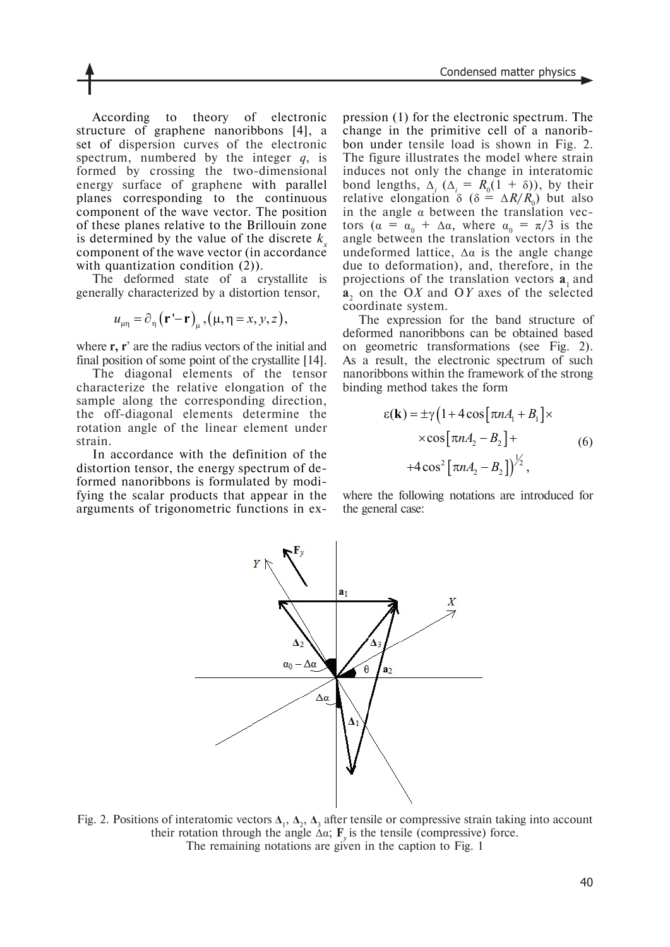According to theory of electronic structure of graphene nanoribbons [4], a set of dispersion curves of the electronic spectrum, numbered by the integer *q*, is formed by crossing the two-dimensional energy surface of graphene with parallel planes corresponding to the continuous component of the wave vector. The position of these planes relative to the Brillouin zone is determined by the value of the discrete  $k<sub>n</sub>$ component of the wave vector (in accordance with quantization condition (2)).

The deformed state of a crystallite is generally characterized by a distortion tensor,

$$
u_{\mu\eta} = \partial_{\eta} (\mathbf{r}' - \mathbf{r})_{\mu}, (\mu, \eta = x, y, z),
$$

where **r, r**' are the radius vectors of the initial and final position of some point of the crystallite [14].

The diagonal elements of the tensor characterize the relative elongation of the sample along the corresponding direction, the off-diagonal elements determine the rotation angle of the linear element under strain.

In accordance with the definition of the distortion tensor, the energy spectrum of deformed nanoribbons is formulated by modifying the scalar products that appear in the arguments of trigonometric functions in expression (1) for the electronic spectrum. The change in the primitive cell of a nanoribbon under tensile load is shown in Fig. 2. The figure illustrates the model where strain induces not only the change in interatomic bond lengths,  $\Delta_i$  ( $\Delta_i = R_0(1 + \delta)$ ), by their relative elongation  $\delta$  ( $\delta = \Delta R/R_0$ ) but also in the angle  $\alpha$  between the translation vectors ( $\alpha = \alpha_0 + \Delta \alpha$ , where  $\alpha_0 = \pi/3$  is the angle between the translation vectors in the undeformed lattice,  $\Delta \alpha$  is the angle change due to deformation), and, therefore, in the projections of the translation vectors **a**<sub>1</sub> and **a**2 on the О*X* and О*Y* axes of the selected coordinate system.

The expression for the band structure of deformed nanoribbons can be obtained based on geometric transformations (see Fig. 2). As a result, the electronic spectrum of such nanoribbons within the framework of the strong binding method takes the form

$$
\varepsilon(\mathbf{k}) = \pm \gamma \left( 1 + 4 \cos \left[ \pi n A_1 + B_1 \right] \times \right. \times \cos \left[ \pi n A_2 - B_2 \right] + \left. + 4 \cos^2 \left[ \pi n A_2 - B_2 \right] \right)^{\frac{1}{2}},\tag{6}
$$

where the following notations are introduced for the general case:



Fig. 2. Positions of interatomic vectors  $\Delta_1$ ,  $\Delta_2$ ,  $\Delta_3$  after tensile or compressive strain taking into account their rotation through the angle  $\Delta \alpha$ ; **F**<sub>y</sub> is the tensile (compressive) force. The remaining notations are given in the caption to Fig. 1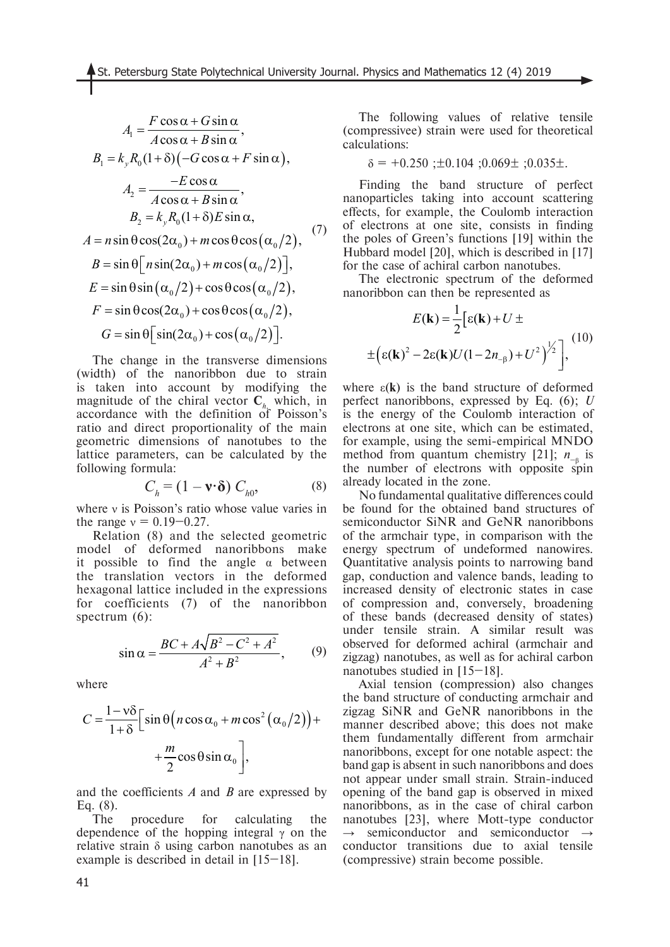$$
A_1 = \frac{F \cos \alpha + G \sin \alpha}{A \cos \alpha + B \sin \alpha},
$$
  
\n
$$
B_1 = k_y R_0 (1 + \delta) (-G \cos \alpha + F \sin \alpha),
$$
  
\n
$$
A_2 = \frac{-E \cos \alpha}{A \cos \alpha + B \sin \alpha},
$$
  
\n
$$
B_2 = k_y R_0 (1 + \delta) E \sin \alpha,
$$
  
\n
$$
A = n \sin \theta \cos(2\alpha_0) + m \cos \theta \cos(\alpha_0/2),
$$
  
\n
$$
B = \sin \theta [n \sin(2\alpha_0) + m \cos(\alpha_0/2)],
$$
  
\n
$$
E = \sin \theta \sin(\alpha_0/2) + \cos \theta \cos(\alpha_0/2),
$$
  
\n
$$
F = \sin \theta \cos(2\alpha_0) + \cos \theta \cos(\alpha_0/2),
$$
  
\n
$$
G = \sin \theta [ \sin(2\alpha_0) + \cos(\alpha_0/2)].
$$

The change in the transverse dimensions (width) of the nanoribbon due to strain is taken into account by modifying the magnitude of the chiral vector  $C_{h_n}$  which, in accordance with the definition of Poisson's ratio and direct proportionality of the main geometric dimensions of nanotubes to the lattice parameters, can be calculated by the following formula:

$$
C_h = (1 - \mathbf{v} \cdot \mathbf{\delta}) C_{h0}, \tag{8}
$$

where ν is Poisson's ratio whose value varies in the range  $v = 0.19 - 0.27$ .

Relation (8) and the selected geometric model of deformed nanoribbons make it possible to find the angle  $\alpha$  between the translation vectors in the deformed hexagonal lattice included in the expressions for coefficients (7) of the nanoribbon spectrum (6):

$$
\sin \alpha = \frac{BC + A\sqrt{B^2 - C^2 + A^2}}{A^2 + B^2},
$$
 (9)

where

$$
C = \frac{1 - v\delta}{1 + \delta} \Big[ \sin \theta \Big( n \cos \alpha_0 + m \cos^2 (\alpha_0 / 2) \Big) + \\ + \frac{m}{2} \cos \theta \sin \alpha_0 \Big],
$$

and the coefficients *A* and *B* are expressed by Eq. (8).

The procedure for calculating the dependence of the hopping integral  $\gamma$  on the relative strain δ using carbon nanotubes as an example is described in detail in [15–18].

The following values of relative tensile (compressivee) strain were used for theoretical calculations:

$$
\delta = +0.250
$$
;  $\pm 0.104$ ;  $0.069 \pm$ ;  $0.035 \pm$ .

Finding the band structure of perfect nanoparticles taking into account scattering effects, for example, the Coulomb interaction of electrons at one site, consists in finding the poles of Green's functions [19] within the Hubbard model [20], which is described in [17] for the case of achiral carbon nanotubes.

The electronic spectrum of the deformed nanoribbon can then be represented as

$$
E(\mathbf{k}) = \frac{1}{2} \Big[ \varepsilon(\mathbf{k}) + U \pm
$$
  
 
$$
\pm \Big( \varepsilon(\mathbf{k})^2 - 2\varepsilon(\mathbf{k})U(1 - 2n_{-\beta}) + U^2 \Big)^{\frac{1}{2}} \Big],
$$
 (10)

where  $\varepsilon(k)$  is the band structure of deformed perfect nanoribbons, expressed by Eq. (6); *U* is the energy of the Coulomb interaction of electrons at one site, which can be estimated, for example, using the semi-empirical MNDO method from quantum chemistry [21];  $n_{-\beta}$  is the number of electrons with opposite spin already located in the zone.

No fundamental qualitative differences could be found for the obtained band structures of semiconductor SiNR and GeNR nanoribbons of the armchair type, in comparison with the energy spectrum of undeformed nanowires. Quantitative analysis points to narrowing band gap, conduction and valence bands, leading to increased density of electronic states in case of compression and, conversely, broadening of these bands (decreased density of states) under tensile strain. A similar result was observed for deformed achiral (armchair and zigzag) nanotubes, as well as for achiral carbon nanotubes studied in [15–18].

Axial tension (compression) also changes the band structure of conducting armchair and zigzag SiNR and GeNR nanoribbons in the manner described above; this does not make them fundamentally different from armchair nanoribbons, except for one notable aspect: the band gap is absent in such nanoribbons and does not appear under small strain. Strain-induced opening of the band gap is observed in mixed nanoribbons, as in the case of chiral carbon nanotubes [23], where Mott-type conductor semiconductor and semiconductor  $\rightarrow$ conductor transitions due to axial tensile (compressive) strain become possible.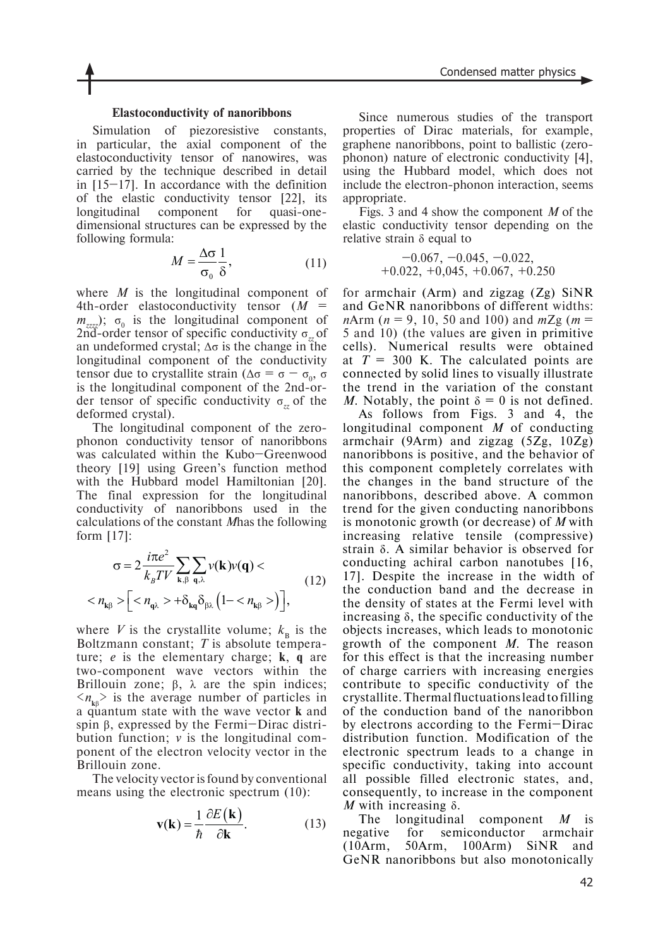#### **Elastoconductivity of nanoribbons**

Simulation of piezoresistive constants, in particular, the axial component of the elastoconductivity tensor of nanowires, was carried by the technique described in detail in [15–17]. In accordance with the definition of the elastic conductivity tensor [22], its longitudinal component for quasi-onedimensional structures can be expressed by the following formula:

$$
M = \frac{\Delta \sigma}{\sigma_0} \frac{1}{\delta},\tag{11}
$$

where *M* is the longitudinal component of 4th-order elastoconductivity tensor (*M* =  $m_{\text{zzz}}$ );  $\sigma_0$  is the longitudinal component of 2nd-order tensor of specific conductivity σ*zz* of an undeformed crystal;  $Δσ$  is the change in the longitudinal component of the conductivity tensor due to crystallite strain ( $\Delta \sigma = \sigma - \sigma_0$ , σ is the longitudinal component of the 2nd-order tensor of specific conductivity σ*zz* of the deformed crystal).

The longitudinal component of the zerophonon conductivity tensor of nanoribbons was calculated within the Kubo–Greenwood theory [19] using Green's function method with the Hubbard model Hamiltonian [20]. The final expression for the longitudinal conductivity of nanoribbons used in the calculations of the constant *M*has the following form [17]:

$$
\sigma = 2 \frac{i\pi e^2}{k_B T V} \sum_{\mathbf{k}, \beta} \sum_{\mathbf{q}, \lambda} \nu(\mathbf{k}) \nu(\mathbf{q}) < n_{\mathbf{k}\beta} > \left[ \langle n_{\mathbf{q}\lambda} \rangle + \delta_{\mathbf{k}\mathbf{q}} \delta_{\beta\lambda} \left( 1 - \langle n_{\mathbf{k}\beta} \rangle \right) \right],
$$
 (12)

where *V* is the crystallite volume;  $k_B$  is the Boltzmann constant; *T* is absolute temperature; *e* is the elementary charge; **k**, **q** are two-component wave vectors within the Brillouin zone;  $\beta$ ,  $\lambda$  are the spin indices;  $\langle n_{\mathbf{k}\beta} \rangle$  is the average number of particles in a quantum state with the wave vector **k** and spin β, expressed by the Fermi–Dirac distribution function; *v* is the longitudinal component of the electron velocity vector in the Brillouin zone.

The velocity vector is found by conventional means using the electronic spectrum (10):

$$
\mathbf{v}(\mathbf{k}) = \frac{1}{\hbar} \frac{\partial E(\mathbf{k})}{\partial \mathbf{k}}.
$$
 (13)

Since numerous studies of the transport properties of Dirac materials, for example, graphene nanoribbons, point to ballistic (zerophonon) nature of electronic conductivity [4], using the Hubbard model, which does not include the electron-phonon interaction, seems appropriate.

Figs. 3 and 4 show the component *M* of the elastic conductivity tensor depending on the relative strain  $\delta$  equal to

$$
\begin{array}{r} -0.067, \ -0.045, \ -0.022, \\ +0.022, \ +0.045, \ +0.067, \ +0.250 \end{array}
$$

for armchair (Arm) and zigzag (Zg) SiNR and GeNR nanoribbons of different widths: *n*Arm (*n* = 9, 10, 50 and 100) and *m*Zg (*m* = 5 and 10) (the values are given in primitive cells). Numerical results were obtained at  $T = 300$  K. The calculated points are connected by solid lines to visually illustrate the trend in the variation of the constant *M*. Notably, the point  $\delta = 0$  is not defined.

As follows from Figs. 3 and 4, the longitudinal component *M* of conducting armchair (9Arm) and zigzag (5Zg, 10Zg) nanoribbons is positive, and the behavior of this component completely correlates with the changes in the band structure of the nanoribbons, described above. A common trend for the given conducting nanoribbons is monotonic growth (or decrease) of *M* with increasing relative tensile (compressive) strain δ. A similar behavior is observed for conducting achiral carbon nanotubes [16, 17]. Despite the increase in the width of the conduction band and the decrease in the density of states at the Fermi level with increasing  $\delta$ , the specific conductivity of the objects increases, which leads to monotonic growth of the component *M*. The reason for this effect is that the increasing number of charge carriers with increasing energies contribute to specific conductivity of the crystallite. Thermal fluctuations lead to filling of the conduction band of the nanoribbon by electrons according to the Fermi–Dirac distribution function. Modification of the electronic spectrum leads to a change in specific conductivity, taking into account all possible filled electronic states, and, consequently, to increase in the component *M* with increasing δ.

The longitudinal component *M* is negative for semiconductor armchair (10Arm, 50Arm, 100Arm) SiNR and GeNR nanoribbons but also monotonically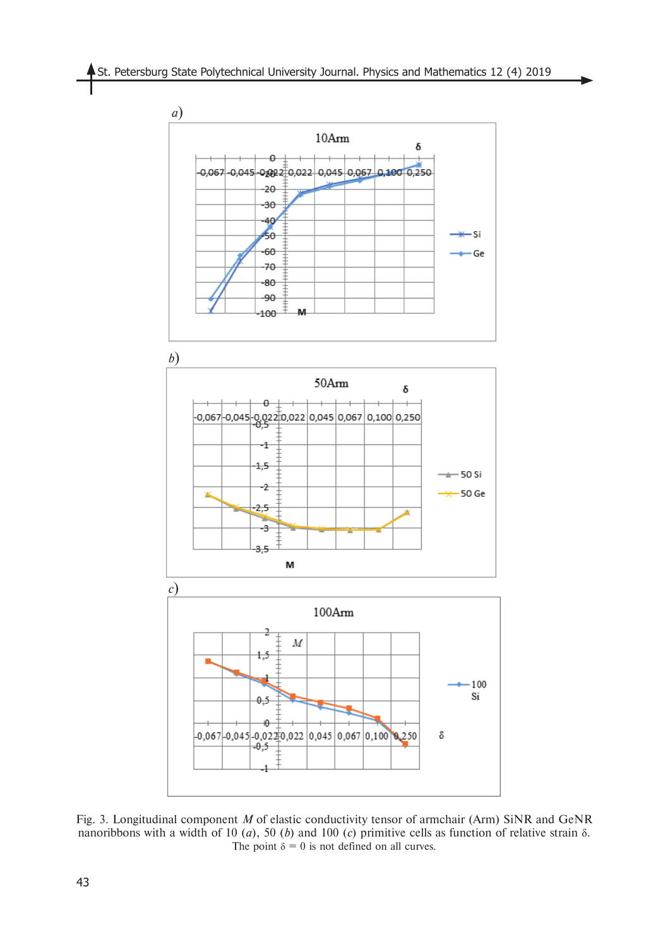

Fig. 3. Longitudinal component *M* of elastic conductivity tensor of armchair (Arm) SiNR and GeNR nanoribbons with a width of 10 (*a*), 50 (*b*) and 100 (*c*) primitive cells as function of relative strain δ*.* The point  $\delta = 0$  is not defined on all curves.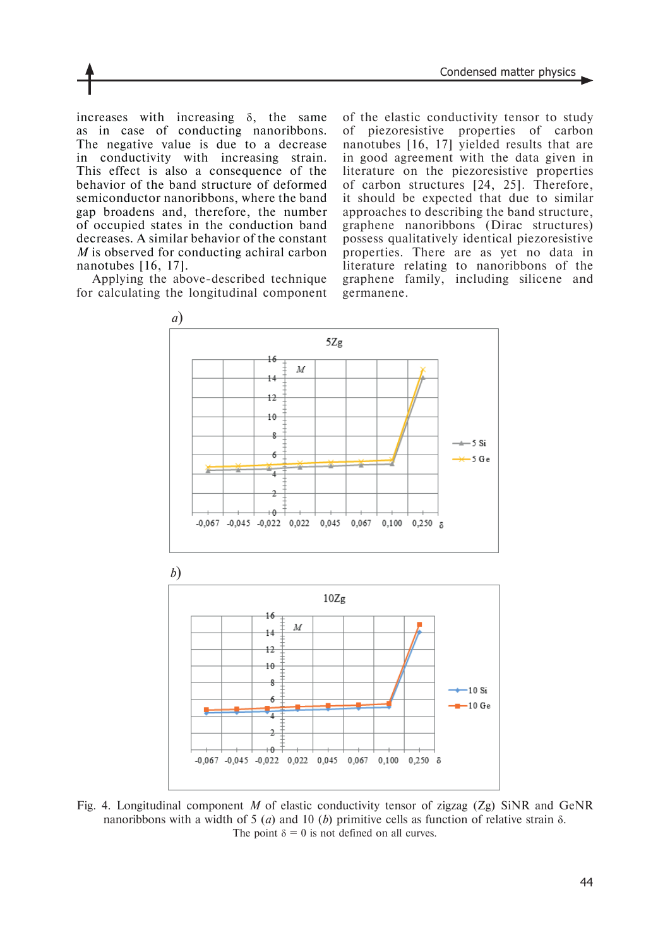increases with increasing  $\delta$ , the same as in case of conducting nanoribbons. The negative value is due to a decrease in conductivity with increasing strain. This effect is also a consequence of the behavior of the band structure of deformed semiconductor nanoribbons, where the band gap broadens and, therefore, the number of occupied states in the conduction band decreases. A similar behavior of the constant *M* is observed for conducting achiral carbon nanotubes [16, 17].

Applying the above-described technique for calculating the longitudinal component of the elastic conductivity tensor to study of piezoresistive properties of carbon nanotubes [16, 17] yielded results that are in good agreement with the data given in literature on the piezoresistive properties of carbon structures [24, 25]. Therefore, it should be expected that due to similar approaches to describing the band structure, graphene nanoribbons (Dirac structures) possess qualitatively identical piezoresistive properties. There are as yet no data in literature relating to nanoribbons of the graphene family, including silicene and germanene.



Fig. 4. Longitudinal component *М* of elastic conductivity tensor of zigzag (Zg) SiNR and GeNR nanoribbons with a width of 5 (*а*) and 10 (*b*) primitive cells as function of relative strain δ. The point  $\delta = 0$  is not defined on all curves.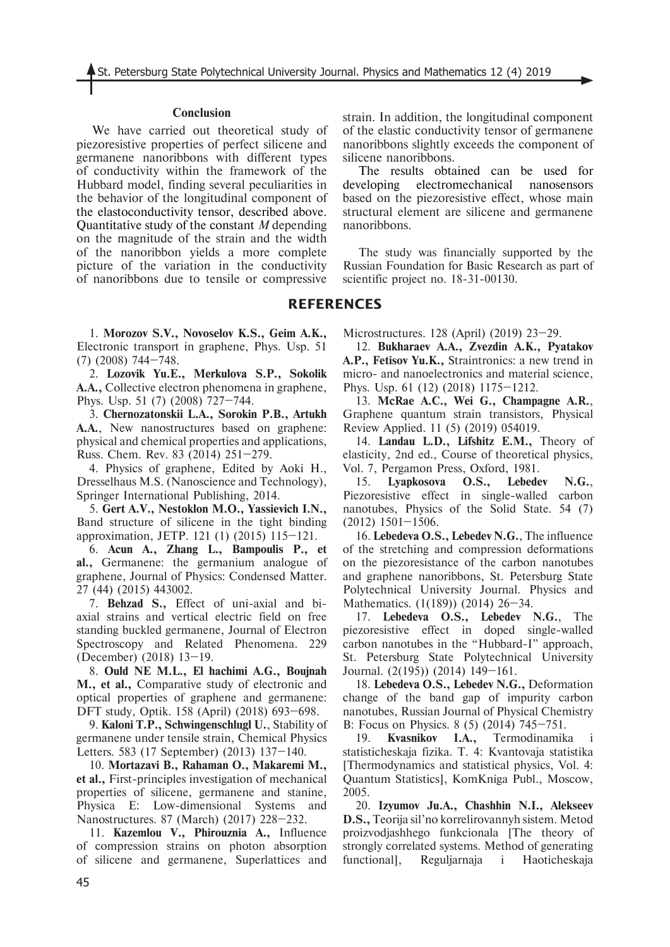#### **Conclusion**

We have carried out theoretical study of piezoresistive properties of perfect silicene and germanene nanoribbons with different types of conductivity within the framework of the Hubbard model, finding several peculiarities in the behavior of the longitudinal component of the elastoconductivity tensor, described above. Quantitative study of the constant *M* depending on the magnitude of the strain and the width of the nanoribbon yields a more complete picture of the variation in the conductivity of nanoribbons due to tensile or compressive

1. **Morozov S.V., Novoselov K.S., Geim A.K.,** Electronic transport in graphene, Phys. Usp. 51 (7) (2008) 744–748.

2. **Lozovik Yu.E., Merkulova S.P., Sokolik A.A.,** Collective electron phenomena in graphene, Phys. Usp. 51 (7) (2008) 727–744.

3. **Chernozatonskii L.A., Sorokin P.B., Artukh A.A.**, New nanostructures based on graphene: physical and chemical properties and applications, Russ. Chem. Rev. 83 (2014) 251–279.

4. Physics of graphene, Edited by Aoki H., Dresselhaus M.S. (Nanoscience and Technology), Springer International Publishing, 2014.

5. **Gert A.V., Nestoklon M.O., Yassievich I.N.,** Band structure of silicene in the tight binding approximation, JETP. 121 (1) (2015) 115–121.

6. **Acun A., Zhang L., Bampoulis P., et al.,** Germanene: the germanium analogue of graphene, Journal of Physics: Condensed Matter. 27 (44) (2015) 443002.

7. **Behzad S.,** Effect of uni-axial and biaxial strains and vertical electric field on free standing buckled germanene, Journal of Electron Spectroscopy and Related Phenomena. 229 (December) (2018) 13–19.

8. **Ould NE M.L., El hachimi A.G., Boujnah M., et al.,** Comparative study of electronic and optical properties of graphene and germanene: DFT study, Optik. 158 (April) (2018) 693–698.

9. **Kaloni T.P., Schwingenschlugl U.**, Stability of germanene under tensile strain, Chemical Physics Letters. 583 (17 September) (2013) 137–140.

10. **Mortazavi B., Rahaman O., Makaremi M., et al.,** First-principles investigation of mechanical properties of silicene, germanene and stanine, Physica E: Low-dimensional Systems and Nanostructures. 87 (March) (2017) 228–232.

11. **Kazemlou V., Phirouznia A.,** Influence of compression strains on photon absorption of silicene and germanene, Superlattices and

strain. In addition, the longitudinal component of the elastic conductivity tensor of germanene nanoribbons slightly exceeds the component of silicene nanoribbons.

The results obtained can be used for developing electromechanical nanosensors based on the piezoresistive effect, whose main structural element are silicene and germanene nanoribbons.

The study was financially supported by the Russian Foundation for Basic Research as part of scientific project no. 18-31-00130.

# **REFERENCES**

Microstructures. 128 (April) (2019) 23–29.

12. **Bukharaev A.A., Zvezdin A.K., Pyatakov A.P., Fetisov Yu.K.,** Straintronics: a new trend in micro- and nanoelectronics and material science, Phys. Usp. 61 (12) (2018) 1175–1212.

13. **McRae A.C., Wei G., Champagne A.R.**, Graphene quantum strain transistors, Physical Review Applied. 11 (5) (2019) 054019.

14. **Landau L.D., Lifshitz E.M.,** Theory of elasticity, 2nd ed., Course of theoretical physics, Vol. 7, Pergamon Press, Oxford, 1981.

15. **Lyapkosova O.S., Lebedev N.G.**, Piezoresistive effect in single-walled carbon nanotubes, Physics of the Solid State. 54 (7) (2012) 1501–1506.

16. **Lebedeva O.S., Lebedev N.G.**, The influence of the stretching and compression deformations on the piezoresistance of the carbon nanotubes and graphene nanoribbons, St. Petersburg State Polytechnical University Journal. Physics and Mathematics. (1(189)) (2014) 26–34.

17. **Lebedeva O.S., Lebedev N.G.**, The piezoresistive effect in doped single-walled carbon nanotubes in the "Hubbard-I" approach, St. Petersburg State Polytechnical University Journal. (2(195)) (2014) 149–161.

18. **Lebedeva O.S., Lebedev N.G.,** Deformation change of the band gap of impurity carbon nanotubes, Russian Journal of Physical Chemistry B: Focus on Physics. 8 (5) (2014) 745–751.

19. **Kvasnikov I.A.,** Termodinamika i statisticheskaja fizika. T. 4: Kvantovaja statistika [Thermodynamics and statistical physics, Vol. 4: Quantum Statistics], KomKniga Publ., Moscow, 2005.

20. **Izyumov Ju.A., Chashhin N.I., Alekseev D.S.,** Teorija sil'no korrelirovannyh sistem. Metod proizvodjashhego funkcionala [The theory of strongly correlated systems. Method of generating functional], Reguljarnaja i Haoticheskaja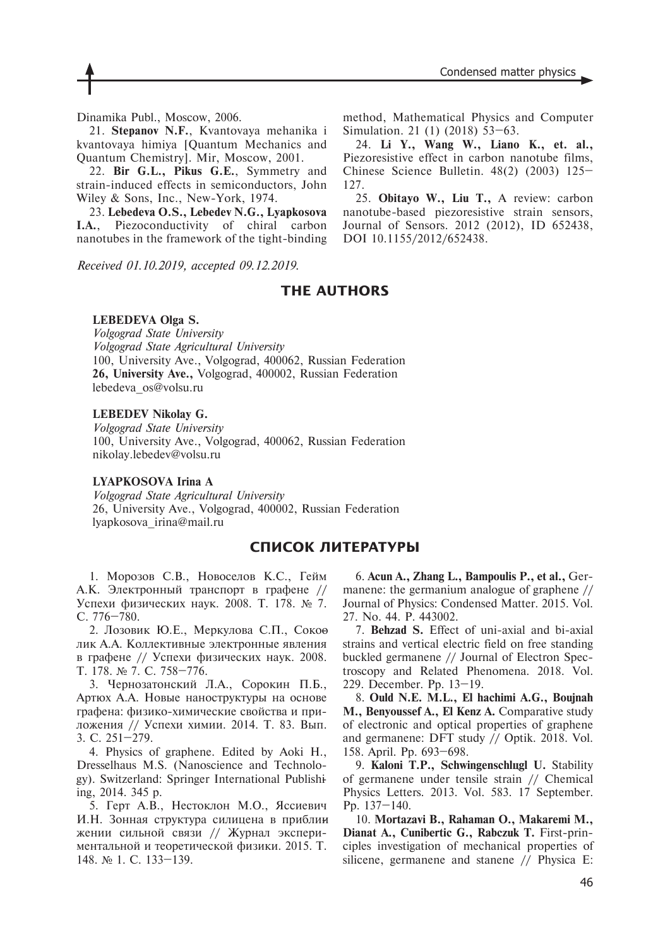Dinamika Publ., Moscow, 2006.

21. **Stepanov N.F.**, Kvantovaya mehanika i kvantovaya himiya [Quantum Mechanics and Quantum Chemistry]. Mir, Moscow, 2001.

22. **Bir G.L., Pikus G.E.**, Symmetry and strain-induced effects in semiconductors, John Wiley & Sons, Inc., New-York, 1974.

23. **Lebedeva O.S., Lebedev N.G., Lyapkosova I.A.**, Piezoconductivity of chiral carbon nanotubes in the framework of the tight-binding

*Received 01.10.2019, accepted 09.12.2019.*

24. **Li Y., Wang W., Liano K., et. al.,** Piezoresistive effect in carbon nanotube films,

Simulation. 21 (1) (2018) 53–63.

Chinese Science Bulletin. 48(2) (2003) 125– 127. 25. **Obitayo W., Liu T.,** A review: carbon nanotube-based piezoresistive strain sensors,

method, Mathematical Physics and Computer

Journal of Sensors. 2012 (2012), ID 652438, DOI 10.1155/2012/652438.

## **THE AUTHORS**

### **LEBEDEVA Olga S.**

*Volgograd State University Volgograd State Agricultural University* 100, University Ave., Volgograd, 400062, Russian Federation **26, University Ave.,** Volgograd, 400002, Russian Federation lebedeva\_os@volsu.ru

#### **LEBEDEV Nikolay G.**

*Volgograd State University* 100, University Ave., Volgograd, 400062, Russian Federation nikolay.lebedev@volsu.ru

#### **LYAPKOSOVA Irina A**

*Volgograd State Agricultural University* 26, University Ave., Volgograd, 400002, Russian Federation lyapkosova\_irina@mail.ru

## **СПИСОК ЛИТЕРАТУРЫ**

1. Морозов С.В., Новоселов К.С., Гейм А.К. Электронный транспорт в графене // Успехи физических наук. 2008. Т. 178. № 7. С. 776–780.

2. Лозовик Ю.Е., Меркулова С.П., Сокоө лик А.А. Коллективные электронные явления в графене // Успехи физических наук. 2008. Т. 178. № 7. С. 758–776.

3. Чернозатонский Л.А., Сорокин П.Б., Артюх А.А. Новые наноструктуры на основе графена: физико-химические свойства и приложения // Успехи химии. 2014. Т. 83. Вып. 3. С. 251–279.

4. Physics of graphene. Edited by Aoki H., Dresselhaus M.S. (Nanoscience and Technology). Switzerland: Springer International Publishiing, 2014. 345 р.

5. Герт А.В., Нестоклон М.О., Яссиевич И.Н. Зонная структура силицена в приблин жении сильной связи // Журнал экспериментальной и теоретической физики. 2015. Т. 148. № 1. С. 133–139.

6. **Acun A., Zhang L., Bampoulis P., et al.,** Germanene: the germanium analogue of graphene // Journal of Physics: Condensed Matter. 2015. Vol. 27. No. 44. P. 443002.

7. **Behzad S.** Effect of uni-axial and bi-axial strains and vertical electric field on free standing buckled germanene // Journal of Electron Spectroscopy and Related Phenomena. 2018. Vol. 229. December. Pp. 13–19.

8. **Ould N.E. M.L., El hachimi A.G., Boujnah M., Benyoussef A., El Kenz A.** Comparative study of electronic and optical properties of graphene and germanene: DFT study // Optik. 2018. Vol. 158. April. Pp. 693–698.

9. **Kaloni T.P., Schwingenschlugl U.** Stability of germanene under tensile strain // Chemical Physics Letters. 2013. Vol. 583. 17 September. Pp. 137–140.

10. **Mortazavi B., Rahaman O., Makaremi M., Dianat A., Cunibertic G., Rabczuk T.** First-principles investigation of mechanical properties of silicene, germanene and stanene // Physica E: